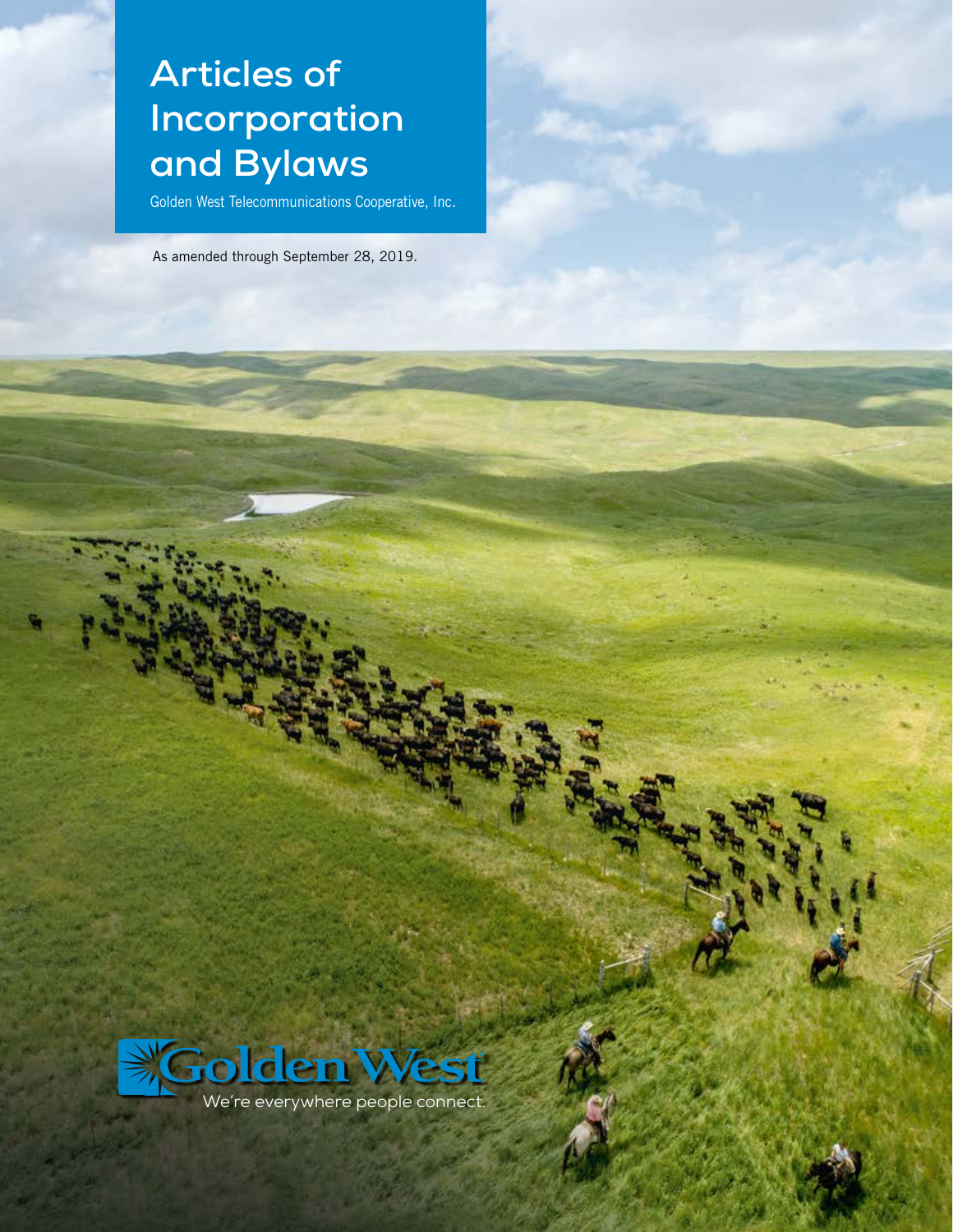# **Articles of Incorporation and Bylaws**

Golden West Telecommunications Cooperative, Inc.

As amended through September 28, 2019.

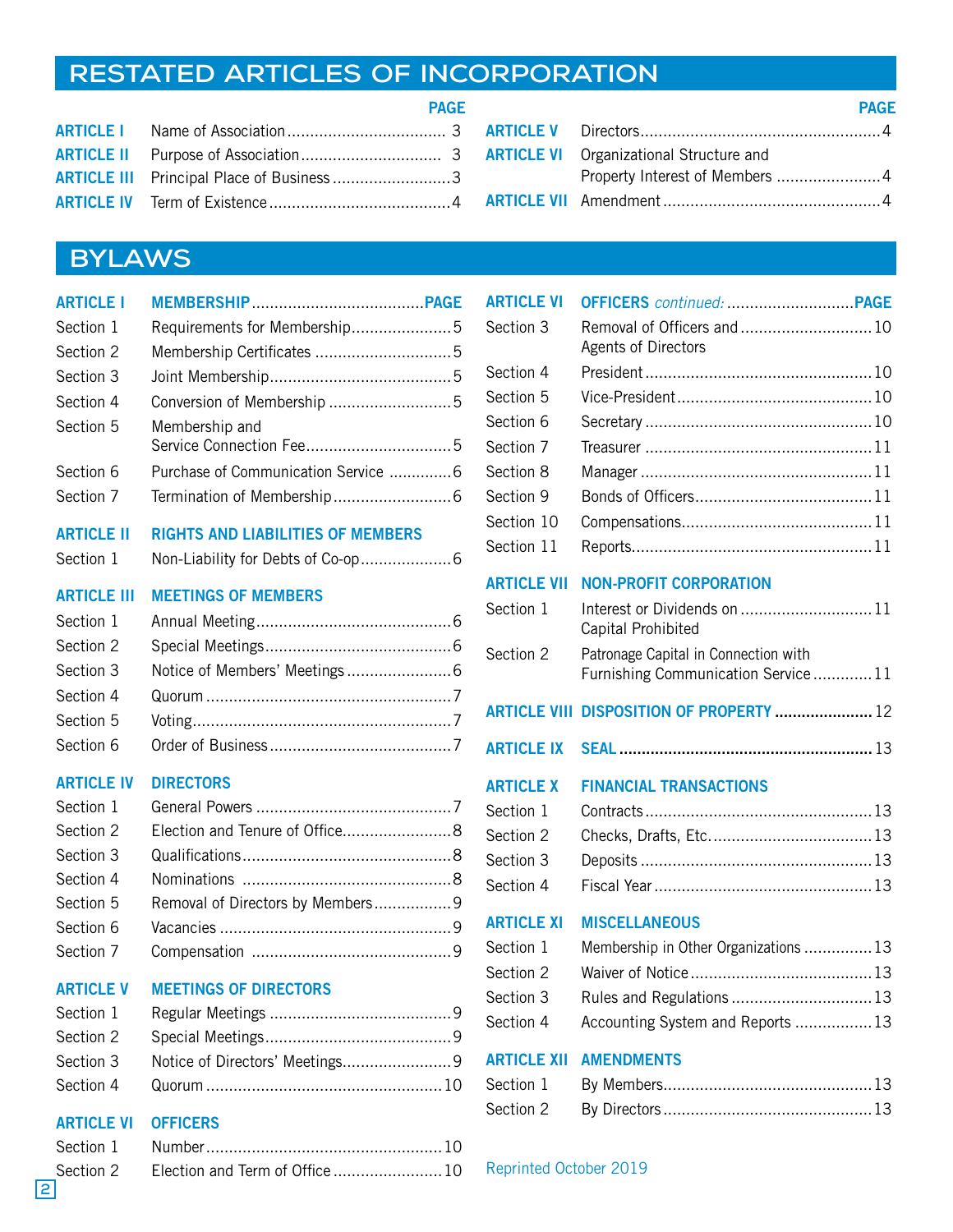## **RESTATED ARTICLES OF INCORPORATION**

|                                                 | <b>PAGE</b> |  |
|-------------------------------------------------|-------------|--|
|                                                 |             |  |
|                                                 |             |  |
| <b>ARTICLE III</b> Principal Place of Business3 |             |  |
|                                                 |             |  |

|                                                | <b>PAGE</b> |
|------------------------------------------------|-------------|
|                                                |             |
| <b>ARTICLE VI</b> Organizational Structure and |             |
|                                                |             |
|                                                |             |

## **BYLAWS**

| <b>ARTICLE I</b>   |                                          |  |
|--------------------|------------------------------------------|--|
| Section 1          | Requirements for Membership5             |  |
| Section 2          |                                          |  |
| Section 3          |                                          |  |
| Section 4          | Conversion of Membership 5               |  |
| Section 5          | Membership and                           |  |
| Section 6          | Purchase of Communication Service 6      |  |
| Section 7          |                                          |  |
| <b>ARTICLE II</b>  | <b>RIGHTS AND LIABILITIES OF MEMBERS</b> |  |
| Section 1          |                                          |  |
| <b>ARTICLE III</b> | <b>MEETINGS OF MEMBERS</b>               |  |
| Section 1          |                                          |  |
| Section 2          |                                          |  |
| Section 3          |                                          |  |
| Section 4          |                                          |  |
| Section 5          |                                          |  |
| Section 6          |                                          |  |
| <b>ARTICLE IV</b>  | <b>DIRECTORS</b>                         |  |
| Section 1          |                                          |  |
| Section 2          | Election and Tenure of Office8           |  |
| Section 3          |                                          |  |
| Section 4          |                                          |  |
| Section 5          | Removal of Directors by Members 9        |  |
| Section 6          |                                          |  |
| Section 7          |                                          |  |
| <b>ARTICLE V</b>   | <b>MEETINGS OF DIRECTORS</b>             |  |
| Section 1          |                                          |  |
| Section 2          |                                          |  |
| Section 3          | Notice of Directors' Meetings9           |  |
| Section 4          |                                          |  |

## ARTICLE VI OFFICERS

| <b>ARTICLE VI</b>      |                                                           |
|------------------------|-----------------------------------------------------------|
| Section 3              | Removal of Officers and  10<br><b>Agents of Directors</b> |
| Section 4              |                                                           |
| Section 5              |                                                           |
| Section 6              |                                                           |
| Section 7              |                                                           |
| Section 8              |                                                           |
| Section 9              |                                                           |
| Section 10             |                                                           |
| Section 11             |                                                           |
| <b>ARTICLE VII</b>     | <b>NON-PROFIT CORPORATION</b>                             |
| Section 1              | Interest or Dividends on  11                              |
|                        | Capital Prohibited                                        |
| Section 2              | Patronage Capital in Connection with                      |
|                        | Furnishing Communication Service 11                       |
|                        | ARTICLE VIII DISPOSITION OF PROPERTY  12                  |
|                        |                                                           |
| <b>ARTICLE IX</b>      |                                                           |
| <b>ARTICLE X</b>       | <b>FINANCIAL TRANSACTIONS</b>                             |
| Section 1              |                                                           |
| Section 2              |                                                           |
| Section 3              |                                                           |
| Section 4              |                                                           |
| <b>ARTICLE XI</b>      | <b>MISCELLANEOUS</b>                                      |
|                        |                                                           |
| Section 1              | Membership in Other Organizations  13                     |
| Section 2              |                                                           |
| Section 3<br>Section 4 | Rules and Regulations  13                                 |
|                        | Accounting System and Reports  13                         |
| <b>ARTICLE XII</b>     | <b>AMENDMENTS</b>                                         |
| Section 1              |                                                           |
| Section 2              |                                                           |

## Reprinted October 2019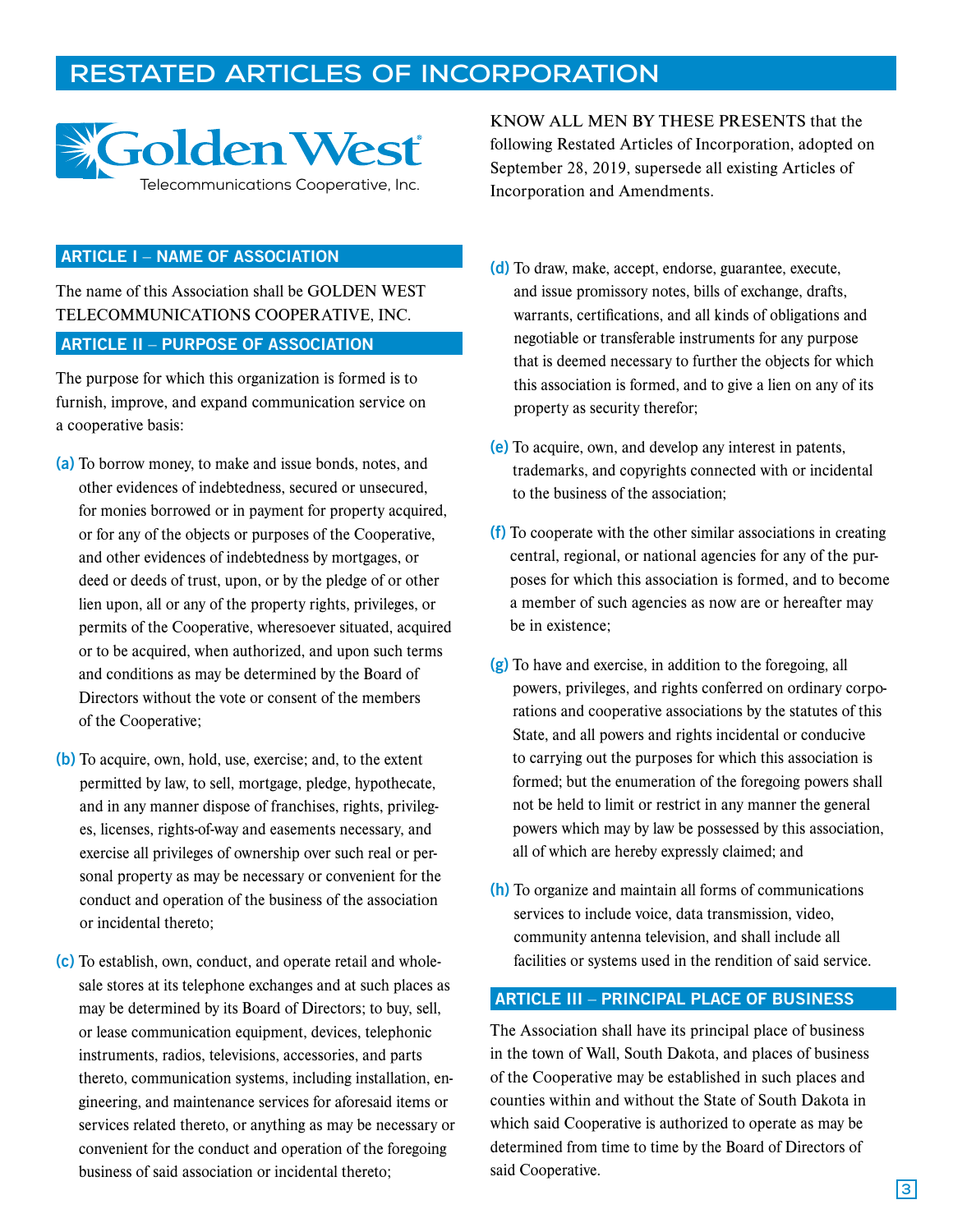## **RESTATED ARTICLES OF INCORPORATION**



## ARTICLE I – NAME OF ASSOCIATION

The name of this Association shall be GOLDEN WEST TELECOMMUNICATIONS COOPERATIVE, INC. ARTICLE II – PURPOSE OF ASSOCIATION

The purpose for which this organization is formed is to furnish, improve, and expand communication service on a cooperative basis:

- (a) To borrow money, to make and issue bonds, notes, and other evidences of indebtedness, secured or unsecured, for monies borrowed or in payment for property acquired, or for any of the objects or purposes of the Cooperative, and other evidences of indebtedness by mortgages, or deed or deeds of trust, upon, or by the pledge of or other lien upon, all or any of the property rights, privileges, or permits of the Cooperative, wheresoever situated, acquired or to be acquired, when authorized, and upon such terms and conditions as may be determined by the Board of Directors without the vote or consent of the members of the Cooperative;
- (b) To acquire, own, hold, use, exercise; and, to the extent permitted by law, to sell, mortgage, pledge, hypothecate, and in any manner dispose of franchises, rights, privileges, licenses, rights-of-way and easements necessary, and exercise all privileges of ownership over such real or personal property as may be necessary or convenient for the conduct and operation of the business of the association or incidental thereto;
- (c) To establish, own, conduct, and operate retail and wholesale stores at its telephone exchanges and at such places as may be determined by its Board of Directors; to buy, sell, or lease communication equipment, devices, telephonic instruments, radios, televisions, accessories, and parts thereto, communication systems, including installation, engineering, and maintenance services for aforesaid items or services related thereto, or anything as may be necessary or convenient for the conduct and operation of the foregoing business of said association or incidental thereto;

KNOW ALL MEN BY THESE PRESENTS that the following Restated Articles of Incorporation, adopted on September 28, 2019, supersede all existing Articles of Incorporation and Amendments.

- (d) To draw, make, accept, endorse, guarantee, execute, and issue promissory notes, bills of exchange, drafts, warrants, certifications, and all kinds of obligations and negotiable or transferable instruments for any purpose that is deemed necessary to further the objects for which this association is formed, and to give a lien on any of its property as security therefor;
- (e) To acquire, own, and develop any interest in patents, trademarks, and copyrights connected with or incidental to the business of the association;
- (f) To cooperate with the other similar associations in creating central, regional, or national agencies for any of the purposes for which this association is formed, and to become a member of such agencies as now are or hereafter may be in existence;
- (g) To have and exercise, in addition to the foregoing, all powers, privileges, and rights conferred on ordinary corporations and cooperative associations by the statutes of this State, and all powers and rights incidental or conducive to carrying out the purposes for which this association is formed; but the enumeration of the foregoing powers shall not be held to limit or restrict in any manner the general powers which may by law be possessed by this association, all of which are hereby expressly claimed; and
- (h) To organize and maintain all forms of communications services to include voice, data transmission, video, community antenna television, and shall include all facilities or systems used in the rendition of said service.

#### ARTICLE III – PRINCIPAL PLACE OF BUSINESS

The Association shall have its principal place of business in the town of Wall, South Dakota, and places of business of the Cooperative may be established in such places and counties within and without the State of South Dakota in which said Cooperative is authorized to operate as may be determined from time to time by the Board of Directors of said Cooperative.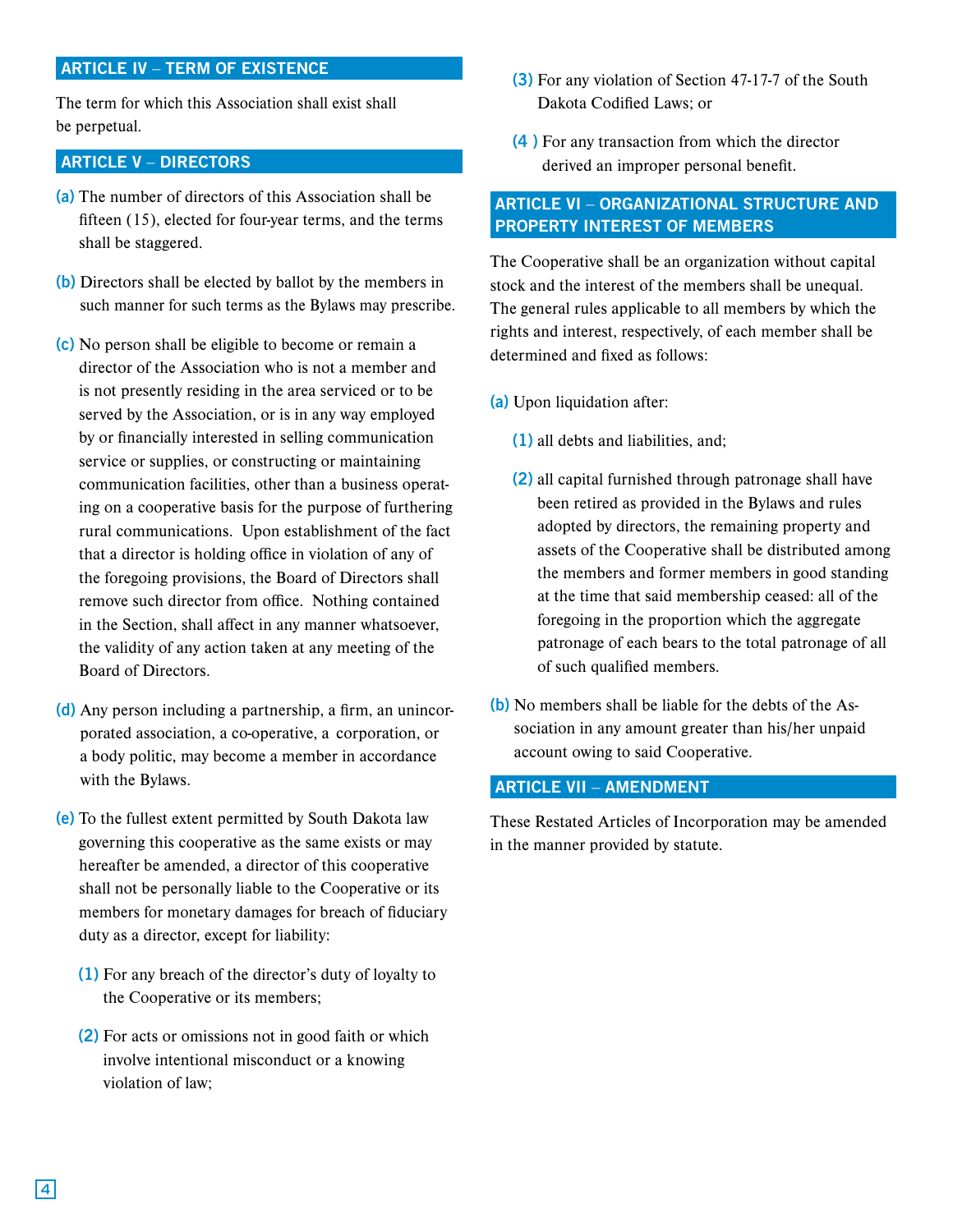## ARTICLE IV – TERM OF EXISTENCE

The term for which this Association shall exist shall be perpetual.

## ARTICLE V – DIRECTORS

- (a) The number of directors of this Association shall be fifteen (15), elected for four-year terms, and the terms shall be staggered.
- (b) Directors shall be elected by ballot by the members in such manner for such terms as the Bylaws may prescribe.
- (c) No person shall be eligible to become or remain a director of the Association who is not a member and is not presently residing in the area serviced or to be served by the Association, or is in any way employed by or financially interested in selling communication service or supplies, or constructing or maintaining communication facilities, other than a business operating on a cooperative basis for the purpose of furthering rural communications. Upon establishment of the fact that a director is holding office in violation of any of the foregoing provisions, the Board of Directors shall remove such director from office. Nothing contained in the Section, shall affect in any manner whatsoever, the validity of any action taken at any meeting of the Board of Directors.
- (d) Any person including a partnership, a firm, an unincorporated association, a co-operative, a corporation, or a body politic, may become a member in accordance with the Bylaws.
- (e) To the fullest extent permitted by South Dakota law governing this cooperative as the same exists or may hereafter be amended, a director of this cooperative shall not be personally liable to the Cooperative or its members for monetary damages for breach of fiduciary duty as a director, except for liability:
	- (1) For any breach of the director's duty of loyalty to the Cooperative or its members;
	- (2) For acts or omissions not in good faith or which involve intentional misconduct or a knowing violation of law;
- (3) For any violation of Section 47-17-7 of the South Dakota Codified Laws; or
- (4 ) For any transaction from which the director derived an improper personal benefit.

## ARTICLE VI – ORGANIZATIONAL STRUCTURE AND PROPERTY INTEREST OF MEMBERS

The Cooperative shall be an organization without capital stock and the interest of the members shall be unequal. The general rules applicable to all members by which the rights and interest, respectively, of each member shall be determined and fixed as follows:

- (a) Upon liquidation after:
	- (1) all debts and liabilities, and;
	- (2) all capital furnished through patronage shall have been retired as provided in the Bylaws and rules adopted by directors, the remaining property and assets of the Cooperative shall be distributed among the members and former members in good standing at the time that said membership ceased: all of the foregoing in the proportion which the aggregate patronage of each bears to the total patronage of all of such qualified members.
- (b) No members shall be liable for the debts of the Association in any amount greater than his/her unpaid account owing to said Cooperative.

## ARTICLE VII – AMENDMENT

These Restated Articles of Incorporation may be amended in the manner provided by statute.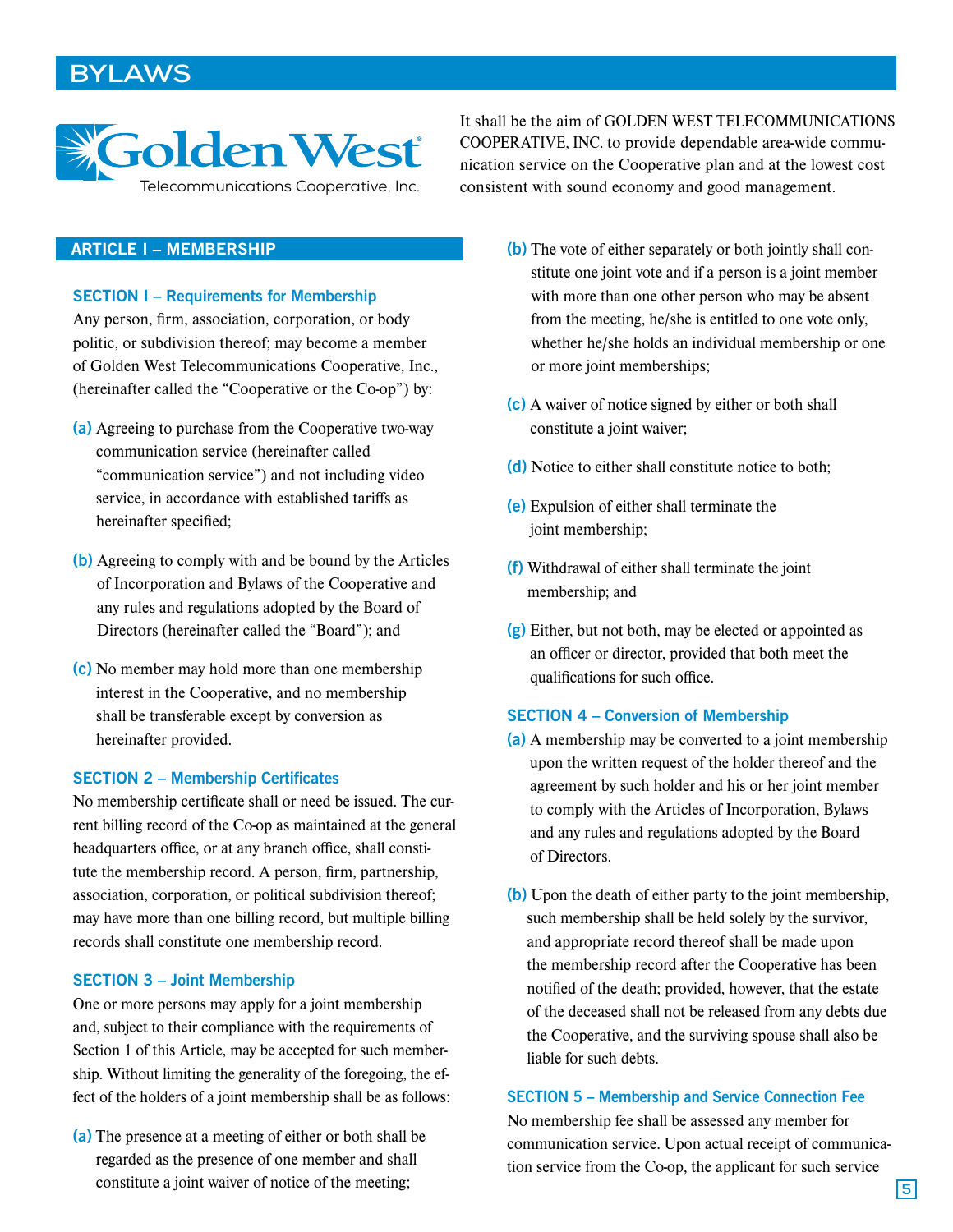## **BYLAWS**



It shall be the aim of GOLDEN WEST TELECOMMUNICATIONS COOPERATIVE, INC. to provide dependable area-wide communication service on the Cooperative plan and at the lowest cost consistent with sound economy and good management.

## ARTICLE I – MEMBERSHIP

SECTION I – Requirements for Membership

Any person, firm, association, corporation, or body politic, or subdivision thereof; may become a member of Golden West Telecommunications Cooperative, Inc., (hereinafter called the "Cooperative or the Co-op") by:

- (a) Agreeing to purchase from the Cooperative two-way communication service (hereinafter called "communication service") and not including video service, in accordance with established tariffs as hereinafter specified;
- (b) Agreeing to comply with and be bound by the Articles of Incorporation and Bylaws of the Cooperative and any rules and regulations adopted by the Board of Directors (hereinafter called the "Board"); and
- (c) No member may hold more than one membership interest in the Cooperative, and no membership shall be transferable except by conversion as hereinafter provided.

## SECTION 2 – Membership Certificates

No membership certificate shall or need be issued. The current billing record of the Co-op as maintained at the general headquarters office, or at any branch office, shall constitute the membership record. A person, firm, partnership, association, corporation, or political subdivision thereof; may have more than one billing record, but multiple billing records shall constitute one membership record.

#### SECTION 3 – Joint Membership

One or more persons may apply for a joint membership and, subject to their compliance with the requirements of Section 1 of this Article, may be accepted for such membership. Without limiting the generality of the foregoing, the effect of the holders of a joint membership shall be as follows:

(a) The presence at a meeting of either or both shall be regarded as the presence of one member and shall constitute a joint waiver of notice of the meeting;

- (b) The vote of either separately or both jointly shall constitute one joint vote and if a person is a joint member with more than one other person who may be absent from the meeting, he/she is entitled to one vote only, whether he/she holds an individual membership or one or more joint memberships;
- (c) A waiver of notice signed by either or both shall constitute a joint waiver;
- (d) Notice to either shall constitute notice to both:
- (e) Expulsion of either shall terminate the joint membership;
- (f) Withdrawal of either shall terminate the joint membership; and
- (g) Either, but not both, may be elected or appointed as an officer or director, provided that both meet the qualifications for such office.

#### SECTION 4 – Conversion of Membership

- (a) A membership may be converted to a joint membership upon the written request of the holder thereof and the agreement by such holder and his or her joint member to comply with the Articles of Incorporation, Bylaws and any rules and regulations adopted by the Board of Directors.
- (b) Upon the death of either party to the joint membership, such membership shall be held solely by the survivor, and appropriate record thereof shall be made upon the membership record after the Cooperative has been notified of the death; provided, however, that the estate of the deceased shall not be released from any debts due the Cooperative, and the surviving spouse shall also be liable for such debts.

### SECTION 5 – Membership and Service Connection Fee

No membership fee shall be assessed any member for communication service. Upon actual receipt of communication service from the Co-op, the applicant for such service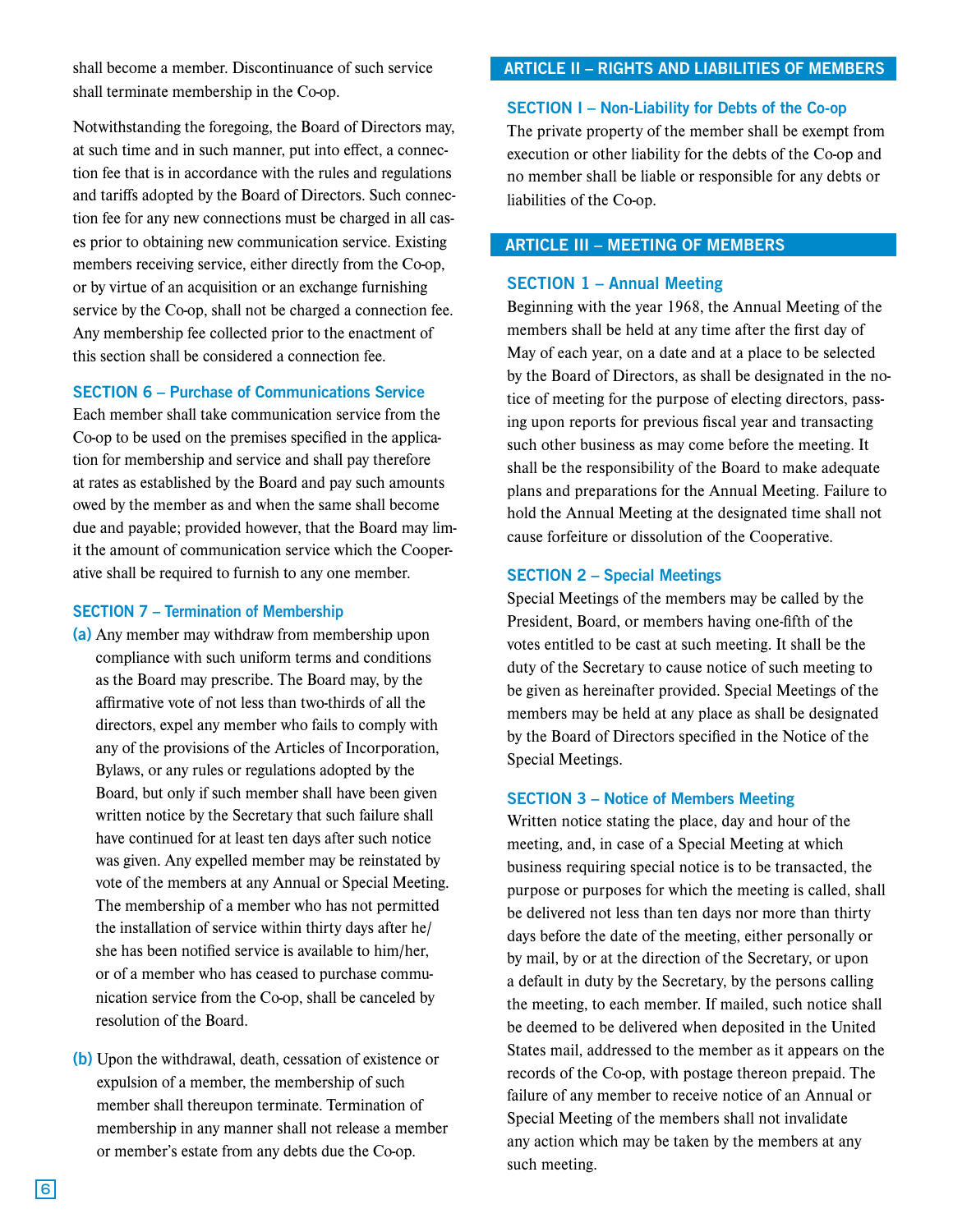shall become a member. Discontinuance of such service shall terminate membership in the Co-op.

Notwithstanding the foregoing, the Board of Directors may, at such time and in such manner, put into effect, a connection fee that is in accordance with the rules and regulations and tariffs adopted by the Board of Directors. Such connection fee for any new connections must be charged in all cases prior to obtaining new communication service. Existing members receiving service, either directly from the Co-op, or by virtue of an acquisition or an exchange furnishing service by the Co-op, shall not be charged a connection fee. Any membership fee collected prior to the enactment of this section shall be considered a connection fee.

#### SECTION 6 – Purchase of Communications Service

Each member shall take communication service from the Co-op to be used on the premises specified in the application for membership and service and shall pay therefore at rates as established by the Board and pay such amounts owed by the member as and when the same shall become due and payable; provided however, that the Board may limit the amount of communication service which the Cooperative shall be required to furnish to any one member.

#### SECTION 7 – Termination of Membership

- (a) Any member may withdraw from membership upon compliance with such uniform terms and conditions as the Board may prescribe. The Board may, by the affirmative vote of not less than two-thirds of all the directors, expel any member who fails to comply with any of the provisions of the Articles of Incorporation, Bylaws, or any rules or regulations adopted by the Board, but only if such member shall have been given written notice by the Secretary that such failure shall have continued for at least ten days after such notice was given. Any expelled member may be reinstated by vote of the members at any Annual or Special Meeting. The membership of a member who has not permitted the installation of service within thirty days after he/ she has been notified service is available to him/her, or of a member who has ceased to purchase communication service from the Co-op, shall be canceled by resolution of the Board.
- (b) Upon the withdrawal, death, cessation of existence or expulsion of a member, the membership of such member shall thereupon terminate. Termination of membership in any manner shall not release a member or member's estate from any debts due the Co-op.

## ARTICLE II – RIGHTS AND LIABILITIES OF MEMBERS

#### SECTION I – Non-Liability for Debts of the Co-op

The private property of the member shall be exempt from execution or other liability for the debts of the Co-op and no member shall be liable or responsible for any debts or liabilities of the Co-op.

## ARTICLE III – MEETING OF MEMBERS

#### SECTION 1 – Annual Meeting

Beginning with the year 1968, the Annual Meeting of the members shall be held at any time after the first day of May of each year, on a date and at a place to be selected by the Board of Directors, as shall be designated in the notice of meeting for the purpose of electing directors, passing upon reports for previous fiscal year and transacting such other business as may come before the meeting. It shall be the responsibility of the Board to make adequate plans and preparations for the Annual Meeting. Failure to hold the Annual Meeting at the designated time shall not cause forfeiture or dissolution of the Cooperative.

#### SECTION 2 – Special Meetings

Special Meetings of the members may be called by the President, Board, or members having one-fifth of the votes entitled to be cast at such meeting. It shall be the duty of the Secretary to cause notice of such meeting to be given as hereinafter provided. Special Meetings of the members may be held at any place as shall be designated by the Board of Directors specified in the Notice of the Special Meetings.

#### SECTION 3 – Notice of Members Meeting

Written notice stating the place, day and hour of the meeting, and, in case of a Special Meeting at which business requiring special notice is to be transacted, the purpose or purposes for which the meeting is called, shall be delivered not less than ten days nor more than thirty days before the date of the meeting, either personally or by mail, by or at the direction of the Secretary, or upon a default in duty by the Secretary, by the persons calling the meeting, to each member. If mailed, such notice shall be deemed to be delivered when deposited in the United States mail, addressed to the member as it appears on the records of the Co-op, with postage thereon prepaid. The failure of any member to receive notice of an Annual or Special Meeting of the members shall not invalidate any action which may be taken by the members at any such meeting.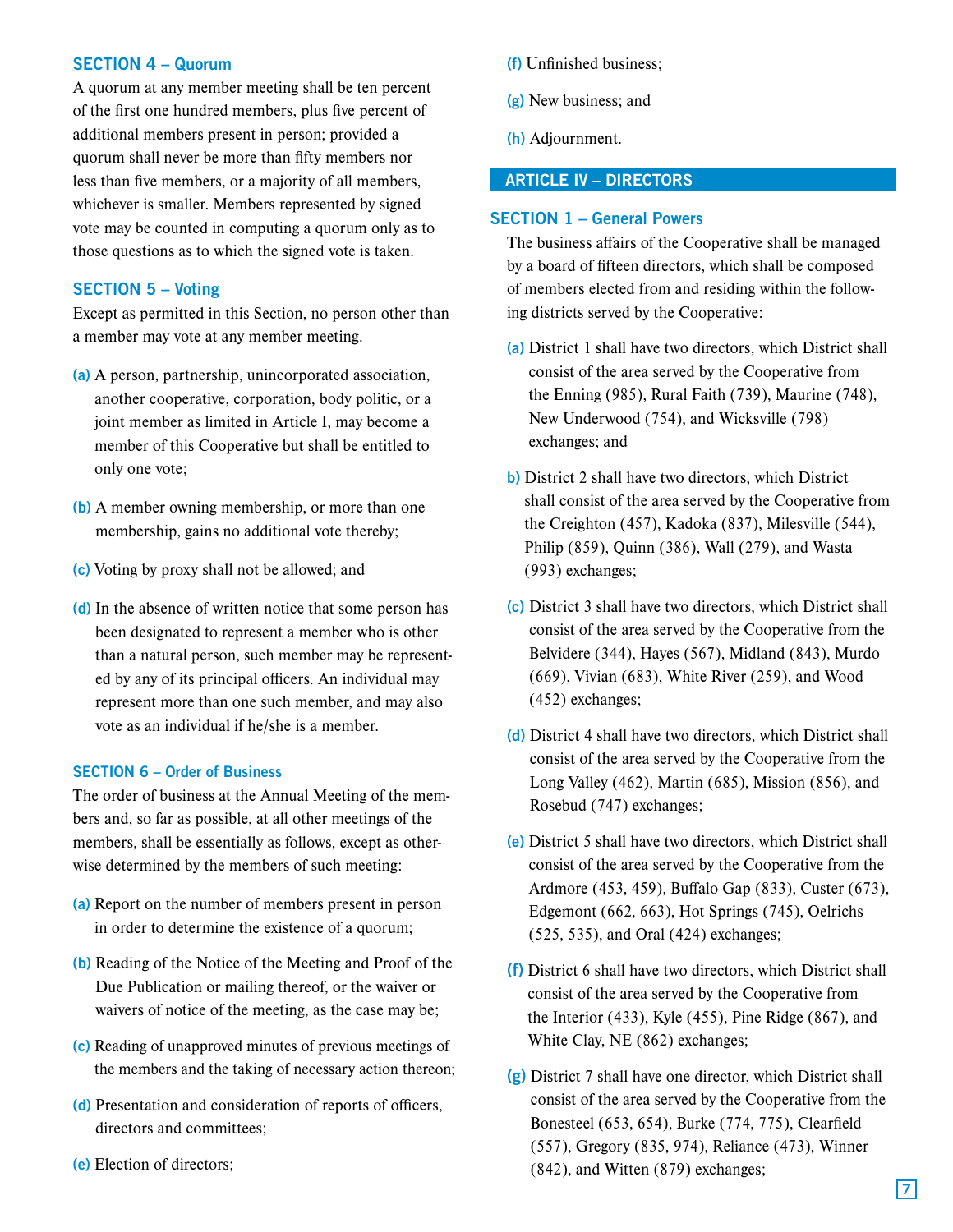## SECTION 4 – Quorum

A quorum at any member meeting shall be ten percent of the first one hundred members, plus five percent of additional members present in person; provided a quorum shall never be more than fifty members nor less than five members, or a majority of all members, whichever is smaller. Members represented by signed vote may be counted in computing a quorum only as to those questions as to which the signed vote is taken.

## SECTION 5 – Voting

Except as permitted in this Section, no person other than a member may vote at any member meeting.

- (a) A person, partnership, unincorporated association, another cooperative, corporation, body politic, or a joint member as limited in Article I, may become a member of this Cooperative but shall be entitled to only one vote;
- (b) A member owning membership, or more than one membership, gains no additional vote thereby;
- (c) Voting by proxy shall not be allowed; and
- (d) In the absence of written notice that some person has been designated to represent a member who is other than a natural person, such member may be represented by any of its principal officers. An individual may represent more than one such member, and may also vote as an individual if he/she is a member.

#### SECTION 6 – Order of Business

The order of business at the Annual Meeting of the members and, so far as possible, at all other meetings of the members, shall be essentially as follows, except as otherwise determined by the members of such meeting:

- (a) Report on the number of members present in person in order to determine the existence of a quorum;
- (b) Reading of the Notice of the Meeting and Proof of the Due Publication or mailing thereof, or the waiver or waivers of notice of the meeting, as the case may be;
- (c) Reading of unapproved minutes of previous meetings of the members and the taking of necessary action thereon;
- (d) Presentation and consideration of reports of officers, directors and committees;
- (e) Election of directors;
- (f) Unfinished business;
- (g) New business; and
- (h) Adjournment.

## ARTICLE IV – DIRECTORS

#### SECTION 1 – General Powers

The business affairs of the Cooperative shall be managed by a board of fifteen directors, which shall be composed of members elected from and residing within the following districts served by the Cooperative:

- (a) District 1 shall have two directors, which District shall consist of the area served by the Cooperative from the Enning (985), Rural Faith (739), Maurine (748), New Underwood (754), and Wicksville (798) exchanges; and
- b) District 2 shall have two directors, which District shall consist of the area served by the Cooperative from the Creighton (457), Kadoka (837), Milesville (544), Philip (859), Quinn (386), Wall (279), and Wasta (993) exchanges;
- (c) District 3 shall have two directors, which District shall consist of the area served by the Cooperative from the Belvidere (344), Hayes (567), Midland (843), Murdo (669), Vivian (683), White River (259), and Wood (452) exchanges;
- (d) District 4 shall have two directors, which District shall consist of the area served by the Cooperative from the Long Valley (462), Martin (685), Mission (856), and Rosebud (747) exchanges;
- (e) District 5 shall have two directors, which District shall consist of the area served by the Cooperative from the Ardmore (453, 459), Buffalo Gap (833), Custer (673), Edgemont (662, 663), Hot Springs (745), Oelrichs (525, 535), and Oral (424) exchanges;
- (f) District 6 shall have two directors, which District shall consist of the area served by the Cooperative from the Interior (433), Kyle (455), Pine Ridge (867), and White Clay, NE (862) exchanges;
- (g) District 7 shall have one director, which District shall consist of the area served by the Cooperative from the Bonesteel (653, 654), Burke (774, 775), Clearfield (557), Gregory (835, 974), Reliance (473), Winner (842), and Witten (879) exchanges;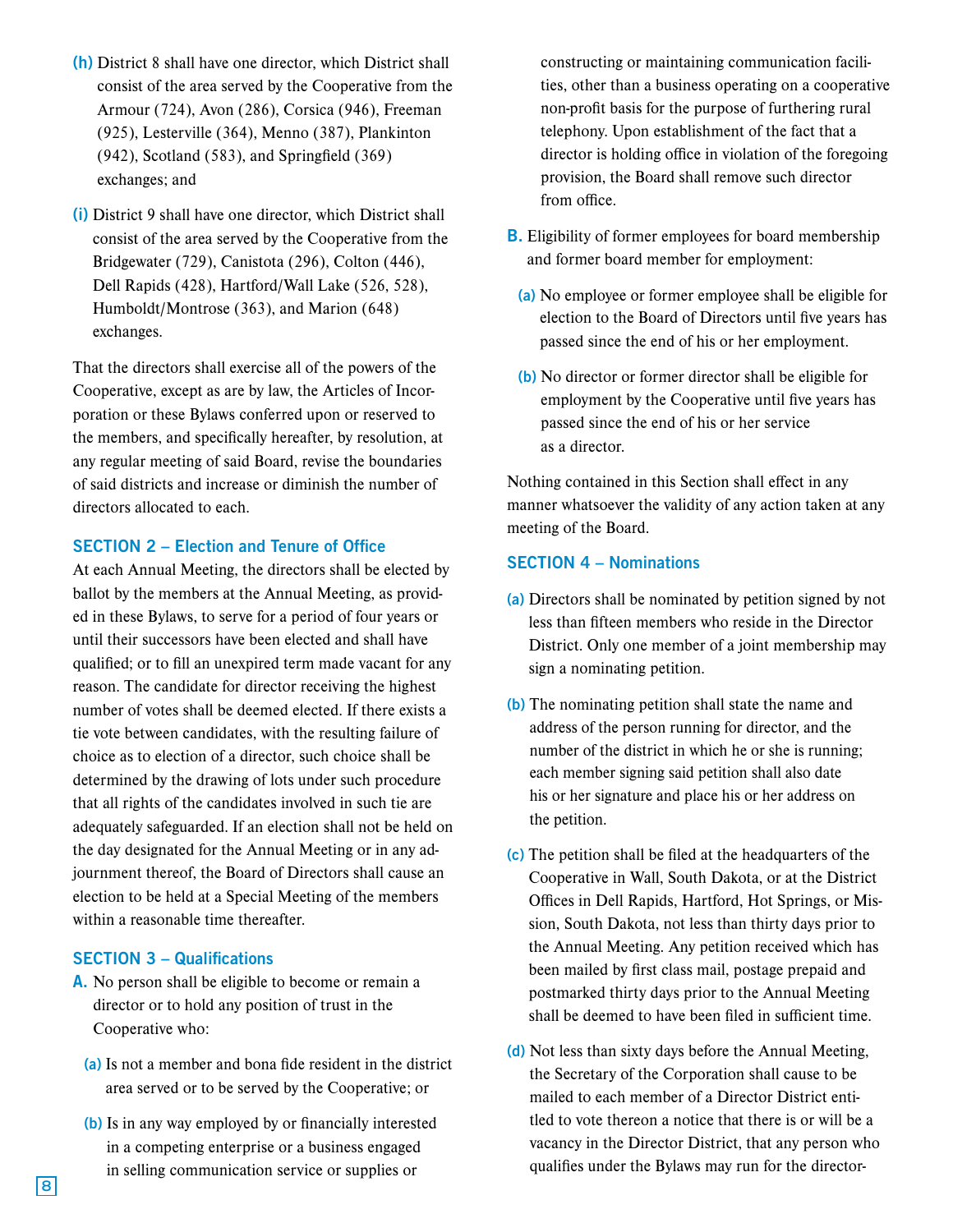- (h) District 8 shall have one director, which District shall consist of the area served by the Cooperative from the Armour (724), Avon (286), Corsica (946), Freeman (925), Lesterville (364), Menno (387), Plankinton (942), Scotland (583), and Springfield (369) exchanges; and
- (i) District 9 shall have one director, which District shall consist of the area served by the Cooperative from the Bridgewater (729), Canistota (296), Colton (446), Dell Rapids (428), Hartford/Wall Lake (526, 528), Humboldt/Montrose (363), and Marion (648) exchanges.

That the directors shall exercise all of the powers of the Cooperative, except as are by law, the Articles of Incorporation or these Bylaws conferred upon or reserved to the members, and specifically hereafter, by resolution, at any regular meeting of said Board, revise the boundaries of said districts and increase or diminish the number of directors allocated to each.

## SECTION 2 – Election and Tenure of Office

At each Annual Meeting, the directors shall be elected by ballot by the members at the Annual Meeting, as provided in these Bylaws, to serve for a period of four years or until their successors have been elected and shall have qualified; or to fill an unexpired term made vacant for any reason. The candidate for director receiving the highest number of votes shall be deemed elected. If there exists a tie vote between candidates, with the resulting failure of choice as to election of a director, such choice shall be determined by the drawing of lots under such procedure that all rights of the candidates involved in such tie are adequately safeguarded. If an election shall not be held on the day designated for the Annual Meeting or in any adjournment thereof, the Board of Directors shall cause an election to be held at a Special Meeting of the members within a reasonable time thereafter.

## SECTION 3 – Qualifications

- A. No person shall be eligible to become or remain a director or to hold any position of trust in the Cooperative who:
	- (a) Is not a member and bona fide resident in the district area served or to be served by the Cooperative; or
	- (b) Is in any way employed by or financially interested in a competing enterprise or a business engaged in selling communication service or supplies or

constructing or maintaining communication facilities, other than a business operating on a cooperative non-profit basis for the purpose of furthering rural telephony. Upon establishment of the fact that a director is holding office in violation of the foregoing provision, the Board shall remove such director from office.

- **B**. Eligibility of former employees for board membership and former board member for employment:
	- (a) No employee or former employee shall be eligible for election to the Board of Directors until five years has passed since the end of his or her employment.
	- (b) No director or former director shall be eligible for employment by the Cooperative until five years has passed since the end of his or her service as a director.

Nothing contained in this Section shall effect in any manner whatsoever the validity of any action taken at any meeting of the Board.

## SECTION 4 – Nominations

- (a) Directors shall be nominated by petition signed by not less than fifteen members who reside in the Director District. Only one member of a joint membership may sign a nominating petition.
- (b) The nominating petition shall state the name and address of the person running for director, and the number of the district in which he or she is running; each member signing said petition shall also date his or her signature and place his or her address on the petition.
- (c) The petition shall be filed at the headquarters of the Cooperative in Wall, South Dakota, or at the District Offices in Dell Rapids, Hartford, Hot Springs, or Mission, South Dakota, not less than thirty days prior to the Annual Meeting. Any petition received which has been mailed by first class mail, postage prepaid and postmarked thirty days prior to the Annual Meeting shall be deemed to have been filed in sufficient time.
- (d) Not less than sixty days before the Annual Meeting, the Secretary of the Corporation shall cause to be mailed to each member of a Director District entitled to vote thereon a notice that there is or will be a vacancy in the Director District, that any person who qualifies under the Bylaws may run for the director-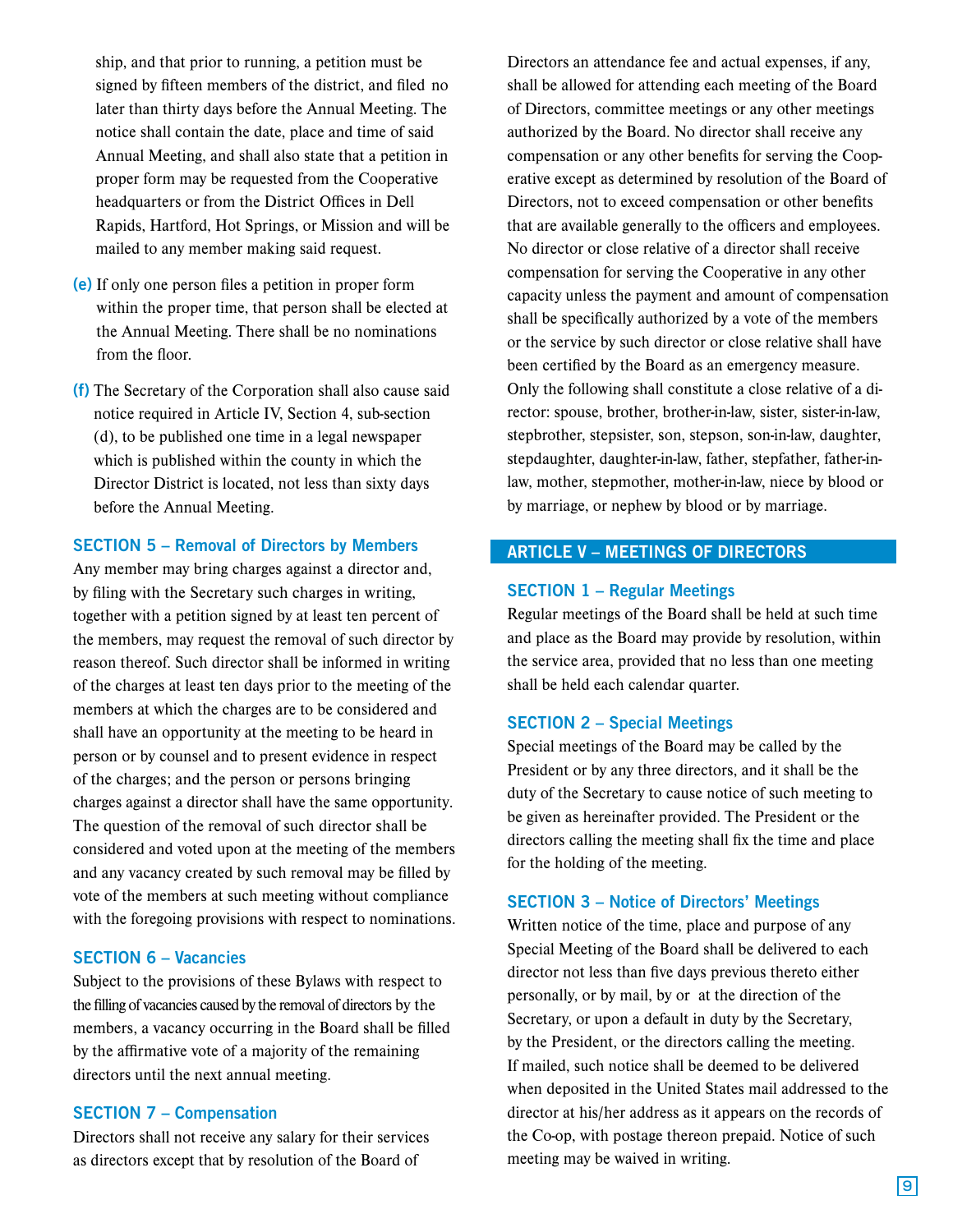ship, and that prior to running, a petition must be signed by fifteen members of the district, and filed no later than thirty days before the Annual Meeting. The notice shall contain the date, place and time of said Annual Meeting, and shall also state that a petition in proper form may be requested from the Cooperative headquarters or from the District Offices in Dell Rapids, Hartford, Hot Springs, or Mission and will be mailed to any member making said request.

- (e) If only one person files a petition in proper form within the proper time, that person shall be elected at the Annual Meeting. There shall be no nominations from the floor.
- (f) The Secretary of the Corporation shall also cause said notice required in Article IV, Section 4, sub-section (d), to be published one time in a legal newspaper which is published within the county in which the Director District is located, not less than sixty days before the Annual Meeting.

#### SECTION 5 – Removal of Directors by Members

Any member may bring charges against a director and, by filing with the Secretary such charges in writing, together with a petition signed by at least ten percent of the members, may request the removal of such director by reason thereof. Such director shall be informed in writing of the charges at least ten days prior to the meeting of the members at which the charges are to be considered and shall have an opportunity at the meeting to be heard in person or by counsel and to present evidence in respect of the charges; and the person or persons bringing charges against a director shall have the same opportunity. The question of the removal of such director shall be considered and voted upon at the meeting of the members and any vacancy created by such removal may be filled by vote of the members at such meeting without compliance with the foregoing provisions with respect to nominations.

## SECTION 6 – Vacancies

Subject to the provisions of these Bylaws with respect to the filling of vacancies caused by the removal of directors by the members, a vacancy occurring in the Board shall be filled by the affirmative vote of a majority of the remaining directors until the next annual meeting.

#### SECTION 7 – Compensation

Directors shall not receive any salary for their services as directors except that by resolution of the Board of

Directors an attendance fee and actual expenses, if any, shall be allowed for attending each meeting of the Board of Directors, committee meetings or any other meetings authorized by the Board. No director shall receive any compensation or any other benefits for serving the Cooperative except as determined by resolution of the Board of Directors, not to exceed compensation or other benefits that are available generally to the officers and employees. No director or close relative of a director shall receive compensation for serving the Cooperative in any other capacity unless the payment and amount of compensation shall be specifically authorized by a vote of the members or the service by such director or close relative shall have been certified by the Board as an emergency measure. Only the following shall constitute a close relative of a director: spouse, brother, brother-in-law, sister, sister-in-law, stepbrother, stepsister, son, stepson, son-in-law, daughter, stepdaughter, daughter-in-law, father, stepfather, father-inlaw, mother, stepmother, mother-in-law, niece by blood or by marriage, or nephew by blood or by marriage.

## ARTICLE V – MEETINGS OF DIRECTORS

## SECTION 1 – Regular Meetings

Regular meetings of the Board shall be held at such time and place as the Board may provide by resolution, within the service area, provided that no less than one meeting shall be held each calendar quarter.

#### SECTION 2 – Special Meetings

Special meetings of the Board may be called by the President or by any three directors, and it shall be the duty of the Secretary to cause notice of such meeting to be given as hereinafter provided. The President or the directors calling the meeting shall fix the time and place for the holding of the meeting.

### SECTION 3 – Notice of Directors' Meetings

Written notice of the time, place and purpose of any Special Meeting of the Board shall be delivered to each director not less than five days previous thereto either personally, or by mail, by or at the direction of the Secretary, or upon a default in duty by the Secretary, by the President, or the directors calling the meeting. If mailed, such notice shall be deemed to be delivered when deposited in the United States mail addressed to the director at his/her address as it appears on the records of the Co-op, with postage thereon prepaid. Notice of such meeting may be waived in writing.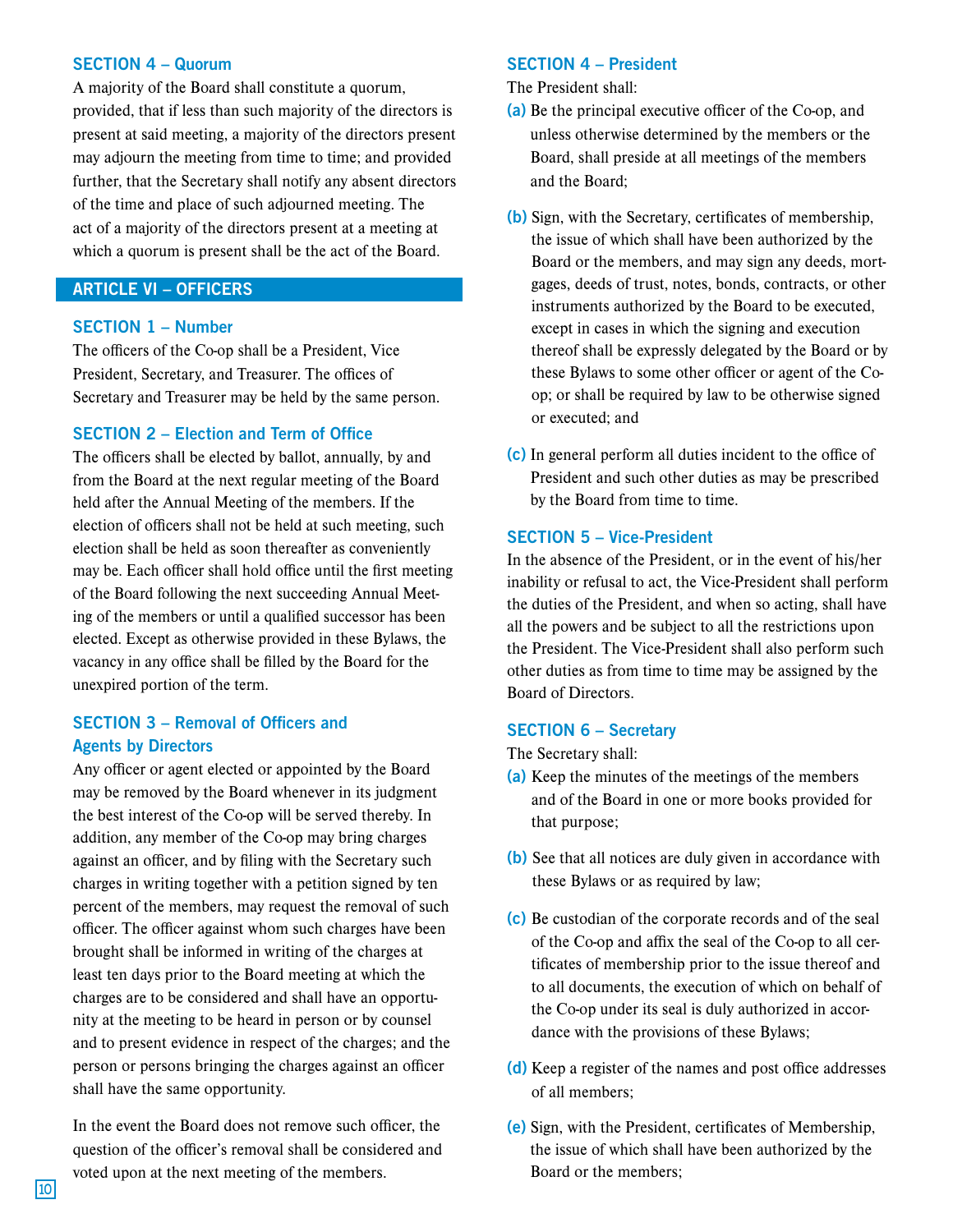## SECTION 4 – Quorum

A majority of the Board shall constitute a quorum, provided, that if less than such majority of the directors is present at said meeting, a majority of the directors present may adjourn the meeting from time to time; and provided further, that the Secretary shall notify any absent directors of the time and place of such adjourned meeting. The act of a majority of the directors present at a meeting at which a quorum is present shall be the act of the Board.

## ARTICLE VI – OFFICERS

### SECTION 1 – Number

The officers of the Co-op shall be a President, Vice President, Secretary, and Treasurer. The offices of Secretary and Treasurer may be held by the same person.

## SECTION 2 – Election and Term of Office

The officers shall be elected by ballot, annually, by and from the Board at the next regular meeting of the Board held after the Annual Meeting of the members. If the election of officers shall not be held at such meeting, such election shall be held as soon thereafter as conveniently may be. Each officer shall hold office until the first meeting of the Board following the next succeeding Annual Meeting of the members or until a qualified successor has been elected. Except as otherwise provided in these Bylaws, the vacancy in any office shall be filled by the Board for the unexpired portion of the term.

## SECTION 3 – Removal of Officers and Agents by Directors

Any officer or agent elected or appointed by the Board may be removed by the Board whenever in its judgment the best interest of the Co-op will be served thereby. In addition, any member of the Co-op may bring charges against an officer, and by filing with the Secretary such charges in writing together with a petition signed by ten percent of the members, may request the removal of such officer. The officer against whom such charges have been brought shall be informed in writing of the charges at least ten days prior to the Board meeting at which the charges are to be considered and shall have an opportunity at the meeting to be heard in person or by counsel and to present evidence in respect of the charges; and the person or persons bringing the charges against an officer shall have the same opportunity.

In the event the Board does not remove such officer, the question of the officer's removal shall be considered and voted upon at the next meeting of the members.

#### SECTION 4 – President

The President shall:

- (a) Be the principal executive officer of the Co-op, and unless otherwise determined by the members or the Board, shall preside at all meetings of the members and the Board;
- (b) Sign, with the Secretary, certificates of membership, the issue of which shall have been authorized by the Board or the members, and may sign any deeds, mortgages, deeds of trust, notes, bonds, contracts, or other instruments authorized by the Board to be executed, except in cases in which the signing and execution thereof shall be expressly delegated by the Board or by these Bylaws to some other officer or agent of the Coop; or shall be required by law to be otherwise signed or executed; and
- (c) In general perform all duties incident to the office of President and such other duties as may be prescribed by the Board from time to time.

## SECTION 5 – Vice-President

In the absence of the President, or in the event of his/her inability or refusal to act, the Vice-President shall perform the duties of the President, and when so acting, shall have all the powers and be subject to all the restrictions upon the President. The Vice-President shall also perform such other duties as from time to time may be assigned by the Board of Directors.

#### SECTION 6 – Secretary

The Secretary shall:

- (a) Keep the minutes of the meetings of the members and of the Board in one or more books provided for that purpose;
- (b) See that all notices are duly given in accordance with these Bylaws or as required by law;
- (c) Be custodian of the corporate records and of the seal of the Co-op and affix the seal of the Co-op to all certificates of membership prior to the issue thereof and to all documents, the execution of which on behalf of the Co-op under its seal is duly authorized in accordance with the provisions of these Bylaws;
- (d) Keep a register of the names and post office addresses of all members;
- (e) Sign, with the President, certificates of Membership, the issue of which shall have been authorized by the Board or the members;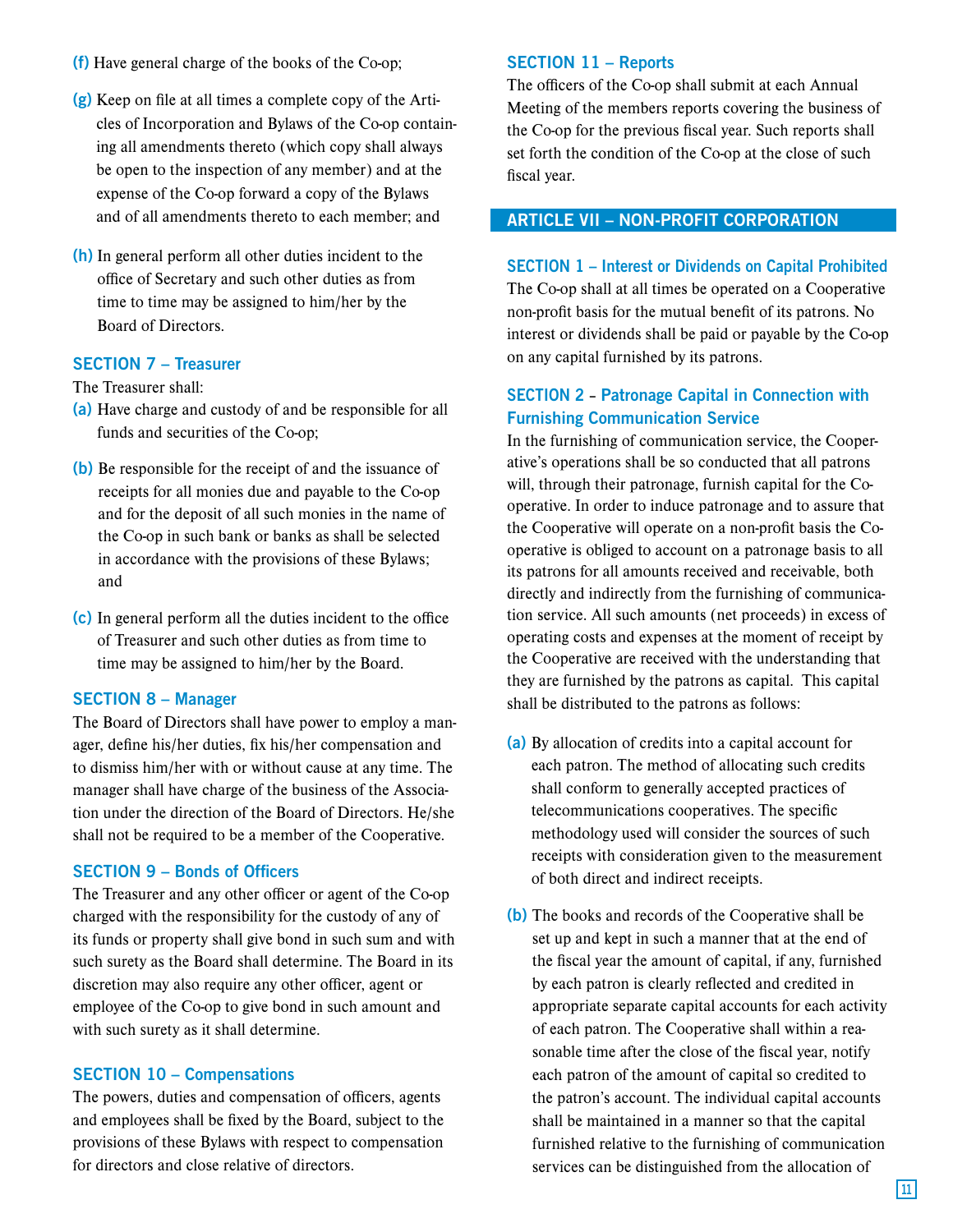- (f) Have general charge of the books of the Co-op;
- (g) Keep on file at all times a complete copy of the Articles of Incorporation and Bylaws of the Co-op containing all amendments thereto (which copy shall always be open to the inspection of any member) and at the expense of the Co-op forward a copy of the Bylaws and of all amendments thereto to each member; and
- (h) In general perform all other duties incident to the office of Secretary and such other duties as from time to time may be assigned to him/her by the Board of Directors.

## SECTION 7 – Treasurer

The Treasurer shall:

- (a) Have charge and custody of and be responsible for all funds and securities of the Co-op;
- (b) Be responsible for the receipt of and the issuance of receipts for all monies due and payable to the Co-op and for the deposit of all such monies in the name of the Co-op in such bank or banks as shall be selected in accordance with the provisions of these Bylaws; and
- (c) In general perform all the duties incident to the office of Treasurer and such other duties as from time to time may be assigned to him/her by the Board.

#### SECTION 8 – Manager

The Board of Directors shall have power to employ a manager, define his/her duties, fix his/her compensation and to dismiss him/her with or without cause at any time. The manager shall have charge of the business of the Association under the direction of the Board of Directors. He/she shall not be required to be a member of the Cooperative.

## SECTION 9 – Bonds of Officers

The Treasurer and any other officer or agent of the Co-op charged with the responsibility for the custody of any of its funds or property shall give bond in such sum and with such surety as the Board shall determine. The Board in its discretion may also require any other officer, agent or employee of the Co-op to give bond in such amount and with such surety as it shall determine.

#### SECTION 10 – Compensations

The powers, duties and compensation of officers, agents and employees shall be fixed by the Board, subject to the provisions of these Bylaws with respect to compensation for directors and close relative of directors.

#### SECTION 11 – Reports

The officers of the Co-op shall submit at each Annual Meeting of the members reports covering the business of the Co-op for the previous fiscal year. Such reports shall set forth the condition of the Co-op at the close of such fiscal year.

## ARTICLE VII – NON-PROFIT CORPORATION

#### SECTION 1 – Interest or Dividends on Capital Prohibited

The Co-op shall at all times be operated on a Cooperative non-profit basis for the mutual benefit of its patrons. No interest or dividends shall be paid or payable by the Co-op on any capital furnished by its patrons.

## SECTION 2 – Patronage Capital in Connection with Furnishing Communication Service

In the furnishing of communication service, the Cooperative's operations shall be so conducted that all patrons will, through their patronage, furnish capital for the Cooperative. In order to induce patronage and to assure that the Cooperative will operate on a non-profit basis the Cooperative is obliged to account on a patronage basis to all its patrons for all amounts received and receivable, both directly and indirectly from the furnishing of communication service. All such amounts (net proceeds) in excess of operating costs and expenses at the moment of receipt by the Cooperative are received with the understanding that they are furnished by the patrons as capital. This capital shall be distributed to the patrons as follows:

- (a) By allocation of credits into a capital account for each patron. The method of allocating such credits shall conform to generally accepted practices of telecommunications cooperatives. The specific methodology used will consider the sources of such receipts with consideration given to the measurement of both direct and indirect receipts.
- (b) The books and records of the Cooperative shall be set up and kept in such a manner that at the end of the fiscal year the amount of capital, if any, furnished by each patron is clearly reflected and credited in appropriate separate capital accounts for each activity of each patron. The Cooperative shall within a reasonable time after the close of the fiscal year, notify each patron of the amount of capital so credited to the patron's account. The individual capital accounts shall be maintained in a manner so that the capital furnished relative to the furnishing of communication services can be distinguished from the allocation of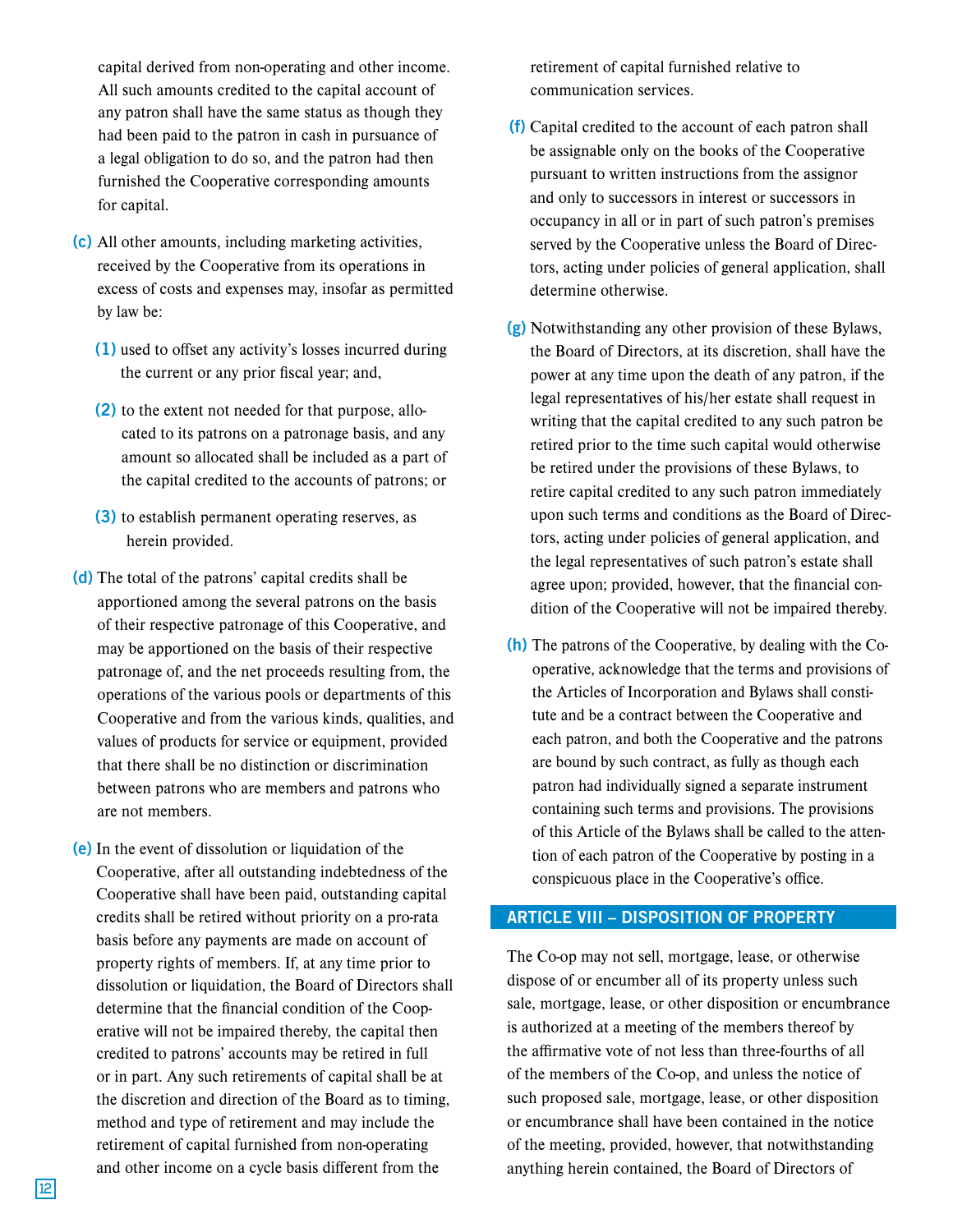capital derived from non-operating and other income. All such amounts credited to the capital account of any patron shall have the same status as though they had been paid to the patron in cash in pursuance of a legal obligation to do so, and the patron had then furnished the Cooperative corresponding amounts for capital.

- (c) All other amounts, including marketing activities, received by the Cooperative from its operations in excess of costs and expenses may, insofar as permitted by law be:
	- (1) used to offset any activity's losses incurred during the current or any prior fiscal year; and,
	- (2) to the extent not needed for that purpose, allocated to its patrons on a patronage basis, and any amount so allocated shall be included as a part of the capital credited to the accounts of patrons; or
	- (3) to establish permanent operating reserves, as herein provided.
- (d) The total of the patrons' capital credits shall be apportioned among the several patrons on the basis of their respective patronage of this Cooperative, and may be apportioned on the basis of their respective patronage of, and the net proceeds resulting from, the operations of the various pools or departments of this Cooperative and from the various kinds, qualities, and values of products for service or equipment, provided that there shall be no distinction or discrimination between patrons who are members and patrons who are not members.
- (e) In the event of dissolution or liquidation of the Cooperative, after all outstanding indebtedness of the Cooperative shall have been paid, outstanding capital credits shall be retired without priority on a pro-rata basis before any payments are made on account of property rights of members. If, at any time prior to dissolution or liquidation, the Board of Directors shall determine that the financial condition of the Cooperative will not be impaired thereby, the capital then credited to patrons' accounts may be retired in full or in part. Any such retirements of capital shall be at the discretion and direction of the Board as to timing, method and type of retirement and may include the retirement of capital furnished from non-operating and other income on a cycle basis different from the

retirement of capital furnished relative to communication services.

- (f) Capital credited to the account of each patron shall be assignable only on the books of the Cooperative pursuant to written instructions from the assignor and only to successors in interest or successors in occupancy in all or in part of such patron's premises served by the Cooperative unless the Board of Directors, acting under policies of general application, shall determine otherwise.
- (g) Notwithstanding any other provision of these Bylaws, the Board of Directors, at its discretion, shall have the power at any time upon the death of any patron, if the legal representatives of his/her estate shall request in writing that the capital credited to any such patron be retired prior to the time such capital would otherwise be retired under the provisions of these Bylaws, to retire capital credited to any such patron immediately upon such terms and conditions as the Board of Directors, acting under policies of general application, and the legal representatives of such patron's estate shall agree upon; provided, however, that the financial condition of the Cooperative will not be impaired thereby.
- (h) The patrons of the Cooperative, by dealing with the Cooperative, acknowledge that the terms and provisions of the Articles of Incorporation and Bylaws shall constitute and be a contract between the Cooperative and each patron, and both the Cooperative and the patrons are bound by such contract, as fully as though each patron had individually signed a separate instrument containing such terms and provisions. The provisions of this Article of the Bylaws shall be called to the attention of each patron of the Cooperative by posting in a conspicuous place in the Cooperative's office.

## ARTICLE VIII – DISPOSITION OF PROPERTY

The Co-op may not sell, mortgage, lease, or otherwise dispose of or encumber all of its property unless such sale, mortgage, lease, or other disposition or encumbrance is authorized at a meeting of the members thereof by the affirmative vote of not less than three-fourths of all of the members of the Co-op, and unless the notice of such proposed sale, mortgage, lease, or other disposition or encumbrance shall have been contained in the notice of the meeting, provided, however, that notwithstanding anything herein contained, the Board of Directors of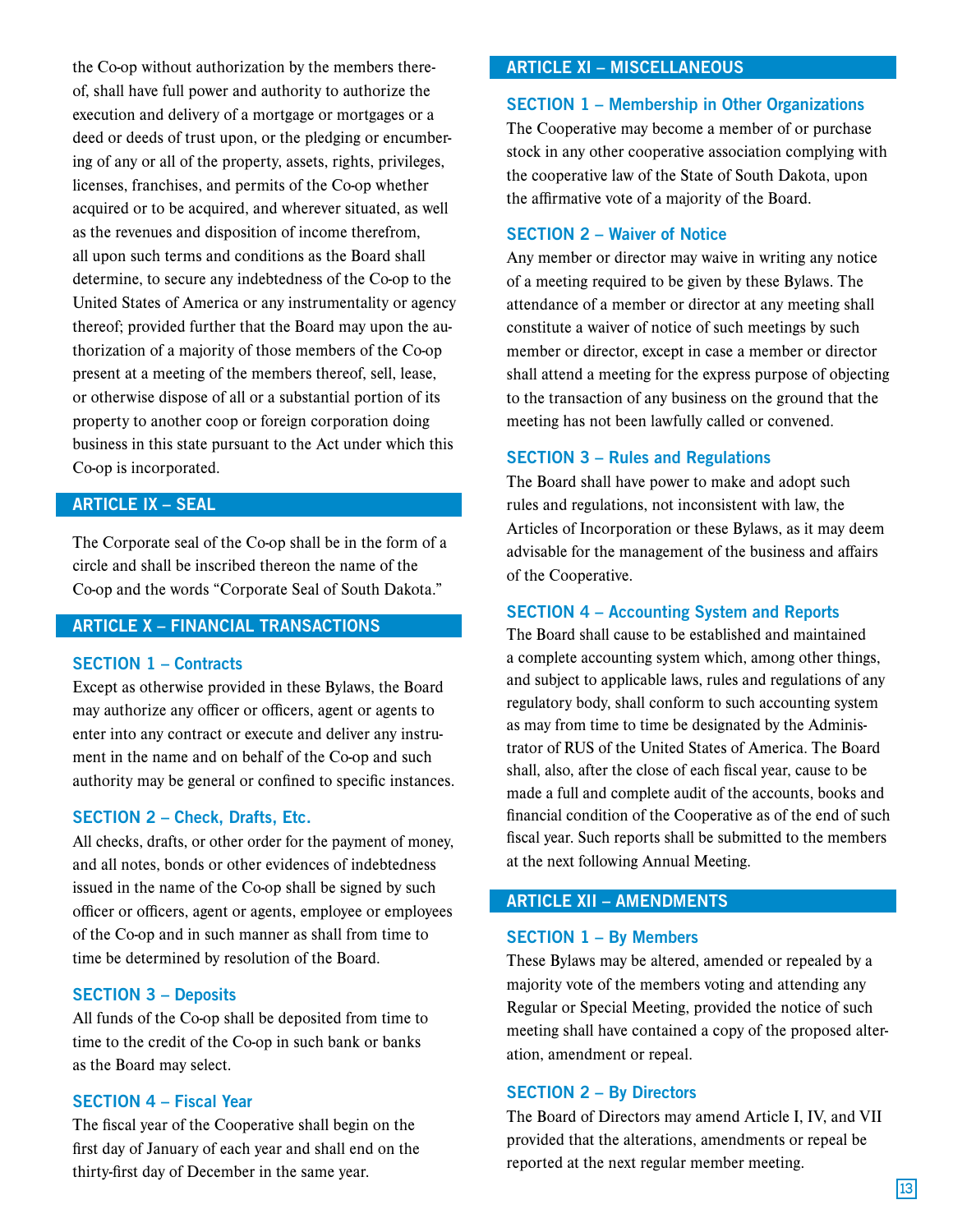the Co-op without authorization by the members thereof, shall have full power and authority to authorize the execution and delivery of a mortgage or mortgages or a deed or deeds of trust upon, or the pledging or encumbering of any or all of the property, assets, rights, privileges, licenses, franchises, and permits of the Co-op whether acquired or to be acquired, and wherever situated, as well as the revenues and disposition of income therefrom, all upon such terms and conditions as the Board shall determine, to secure any indebtedness of the Co-op to the United States of America or any instrumentality or agency thereof; provided further that the Board may upon the authorization of a majority of those members of the Co-op present at a meeting of the members thereof, sell, lease, or otherwise dispose of all or a substantial portion of its property to another coop or foreign corporation doing business in this state pursuant to the Act under which this Co-op is incorporated.

## ARTICLE IX – SEAL

The Corporate seal of the Co-op shall be in the form of a circle and shall be inscribed thereon the name of the Co-op and the words "Corporate Seal of South Dakota."

## ARTICLE X – FINANCIAL TRANSACTIONS

## SECTION 1 – Contracts

Except as otherwise provided in these Bylaws, the Board may authorize any officer or officers, agent or agents to enter into any contract or execute and deliver any instrument in the name and on behalf of the Co-op and such authority may be general or confined to specific instances.

#### SECTION 2 – Check, Drafts, Etc.

All checks, drafts, or other order for the payment of money, and all notes, bonds or other evidences of indebtedness issued in the name of the Co-op shall be signed by such officer or officers, agent or agents, employee or employees of the Co-op and in such manner as shall from time to time be determined by resolution of the Board.

### SECTION 3 – Deposits

All funds of the Co-op shall be deposited from time to time to the credit of the Co-op in such bank or banks as the Board may select.

#### SECTION 4 – Fiscal Year

The fiscal year of the Cooperative shall begin on the first day of January of each year and shall end on the thirty-first day of December in the same year.

## ARTICLE XI – MISCELLANEOUS

#### SECTION 1 – Membership in Other Organizations

The Cooperative may become a member of or purchase stock in any other cooperative association complying with the cooperative law of the State of South Dakota, upon the affirmative vote of a majority of the Board.

#### SECTION 2 – Waiver of Notice

Any member or director may waive in writing any notice of a meeting required to be given by these Bylaws. The attendance of a member or director at any meeting shall constitute a waiver of notice of such meetings by such member or director, except in case a member or director shall attend a meeting for the express purpose of objecting to the transaction of any business on the ground that the meeting has not been lawfully called or convened.

#### SECTION 3 – Rules and Regulations

The Board shall have power to make and adopt such rules and regulations, not inconsistent with law, the Articles of Incorporation or these Bylaws, as it may deem advisable for the management of the business and affairs of the Cooperative.

#### SECTION 4 – Accounting System and Reports

The Board shall cause to be established and maintained a complete accounting system which, among other things, and subject to applicable laws, rules and regulations of any regulatory body, shall conform to such accounting system as may from time to time be designated by the Administrator of RUS of the United States of America. The Board shall, also, after the close of each fiscal year, cause to be made a full and complete audit of the accounts, books and financial condition of the Cooperative as of the end of such fiscal year. Such reports shall be submitted to the members at the next following Annual Meeting.

## ARTICLE XII – AMENDMENTS

#### SECTION 1 – By Members

These Bylaws may be altered, amended or repealed by a majority vote of the members voting and attending any Regular or Special Meeting, provided the notice of such meeting shall have contained a copy of the proposed alteration, amendment or repeal.

#### SECTION 2 – By Directors

The Board of Directors may amend Article I, IV, and VII provided that the alterations, amendments or repeal be reported at the next regular member meeting.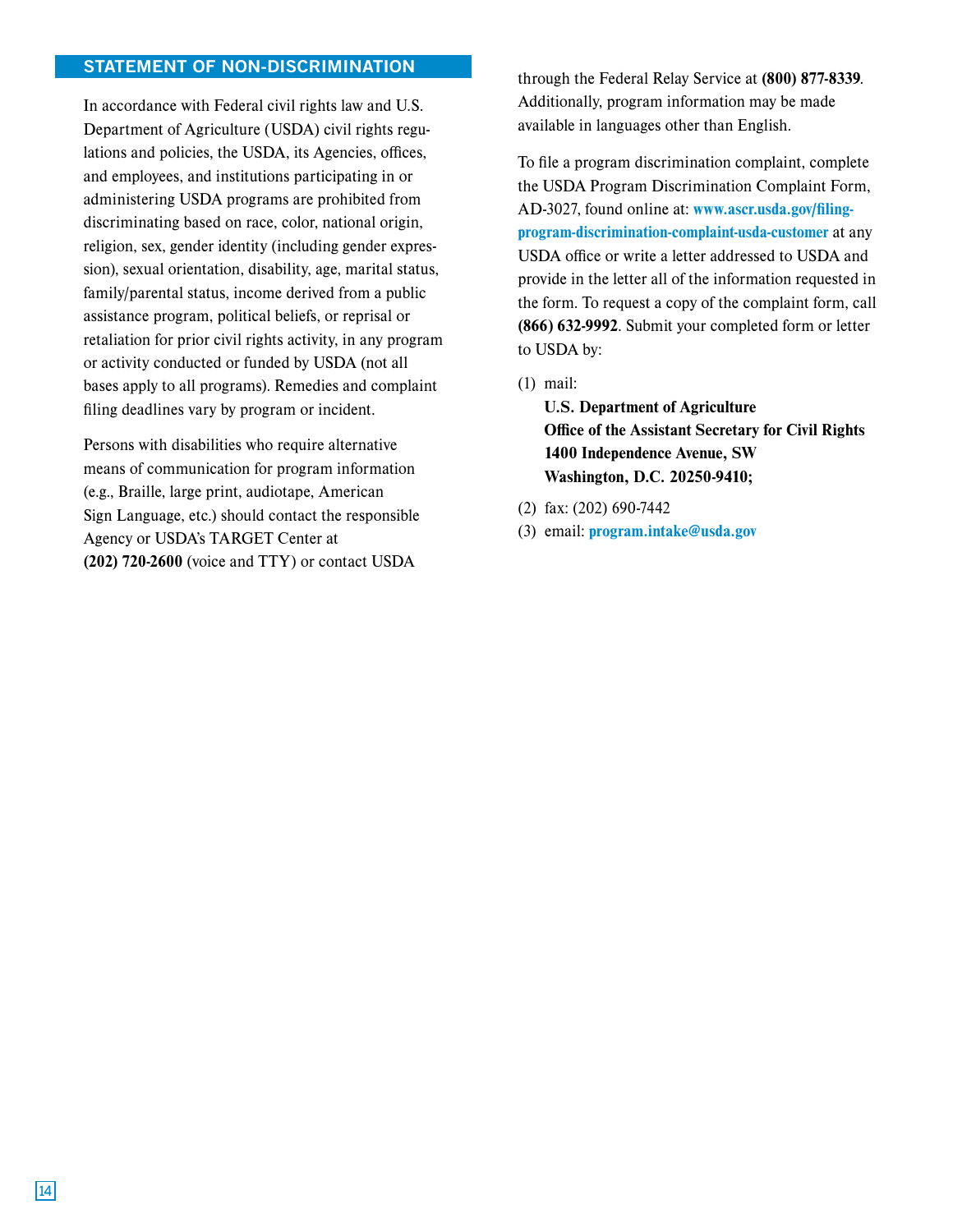## STATEMENT OF NON-DISCRIMINATION

In accordance with Federal civil rights law and U.S. Department of Agriculture (USDA) civil rights regulations and policies, the USDA, its Agencies, offices, and employees, and institutions participating in or administering USDA programs are prohibited from discriminating based on race, color, national origin, religion, sex, gender identity (including gender expression), sexual orientation, disability, age, marital status, family/parental status, income derived from a public assistance program, political beliefs, or reprisal or retaliation for prior civil rights activity, in any program or activity conducted or funded by USDA (not all bases apply to all programs). Remedies and complaint filing deadlines vary by program or incident.

Persons with disabilities who require alternative means of communication for program information (e.g., Braille, large print, audiotape, American Sign Language, etc.) should contact the responsible Agency or USDA's TARGET Center at (202) 720-2600 (voice and TTY) or contact USDA

through the Federal Relay Service at (800) 877-8339. Additionally, program information may be made available in languages other than English.

To file a program discrimination complaint, complete the USDA Program Discrimination Complaint Form, AD-3027, found online at: www.ascr.usda.gov/filingprogram-discrimination-complaint-usda-customer at any USDA office or write a letter addressed to USDA and provide in the letter all of the information requested in the form. To request a copy of the complaint form, call (866) 632-9992. Submit your completed form or letter to USDA by:

(1) mail:

U.S. Department of Agriculture Office of the Assistant Secretary for Civil Rights 1400 Independence Avenue, SW Washington, D.C. 20250-9410;

- (2) fax: (202) 690-7442
- (3) email: program.intake@usda.gov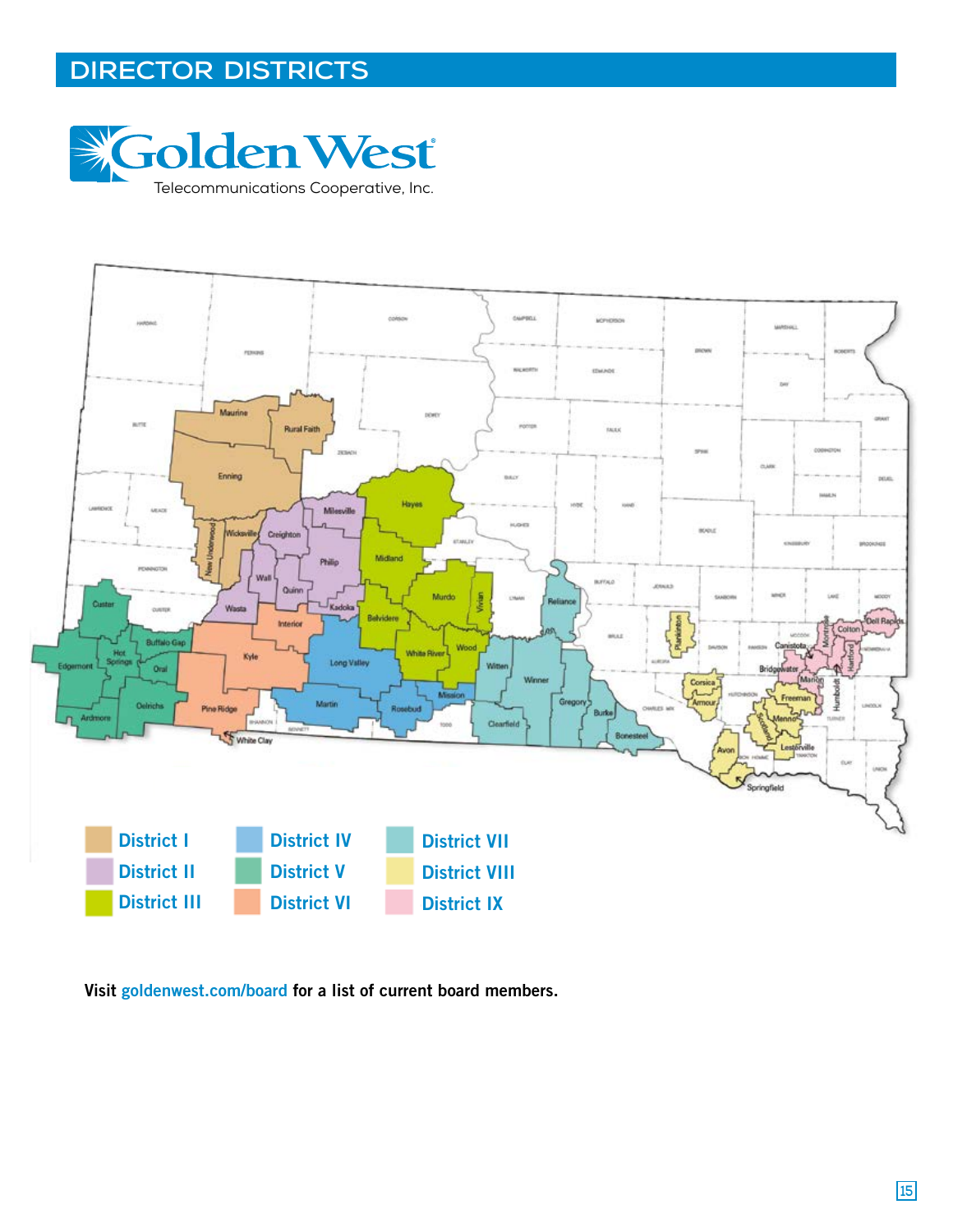## **DIRECTOR DISTRICTS**





Visit goldenwest.com/board for a list of current board members.